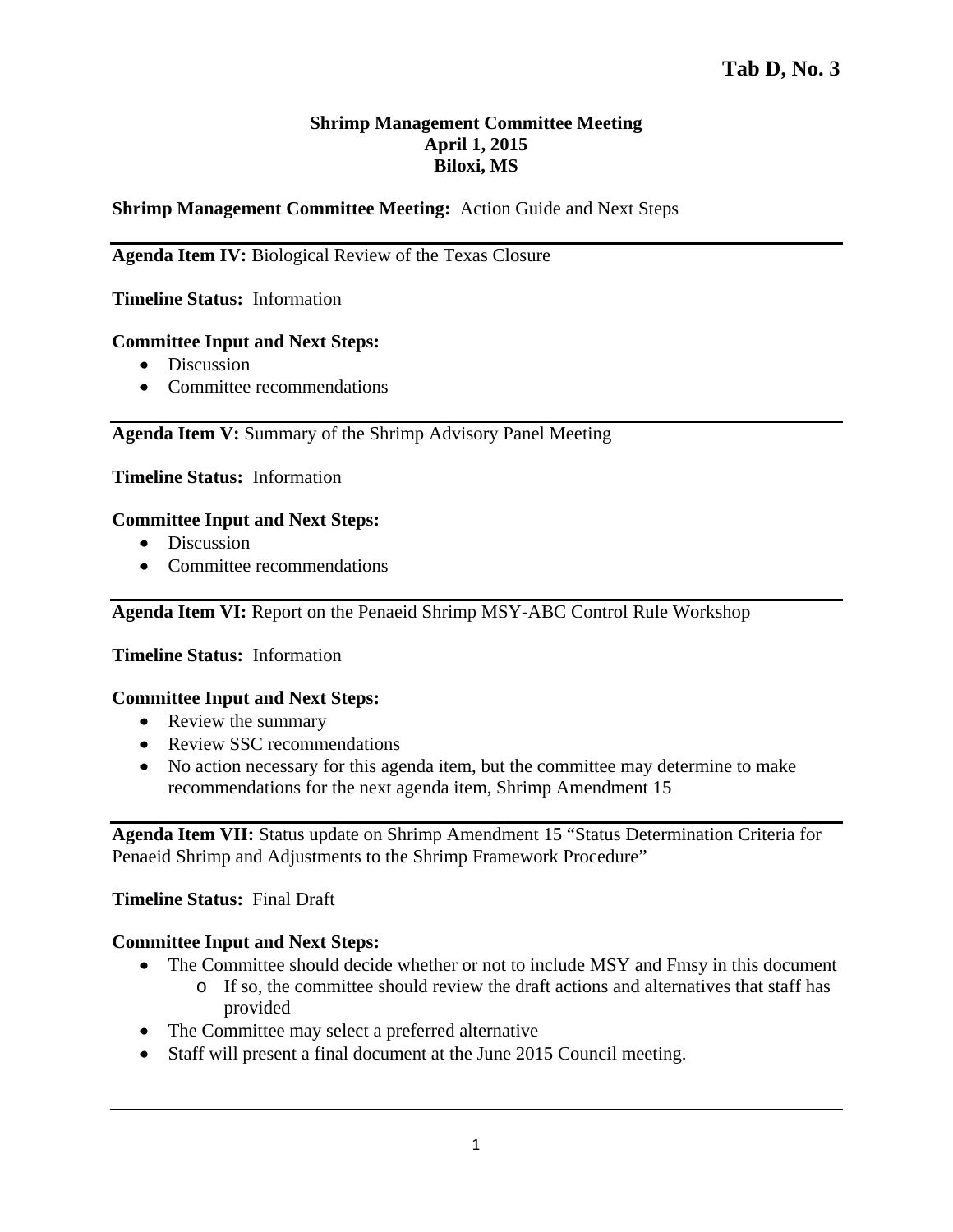# **Shrimp Management Committee Meeting April 1, 2015 Biloxi, MS**

# **Shrimp Management Committee Meeting:** Action Guide and Next Steps

# **Agenda Item IV:** Biological Review of the Texas Closure

## **Timeline Status:** Information

#### **Committee Input and Next Steps:**

- Discussion
- Committee recommendations

## **Agenda Item V:** Summary of the Shrimp Advisory Panel Meeting

## **Timeline Status:** Information

## **Committee Input and Next Steps:**

- Discussion
- Committee recommendations

**Agenda Item VI:** Report on the Penaeid Shrimp MSY-ABC Control Rule Workshop

### **Timeline Status:** Information

#### **Committee Input and Next Steps:**

- Review the summary
- Review SSC recommendations
- No action necessary for this agenda item, but the committee may determine to make recommendations for the next agenda item, Shrimp Amendment 15

**Agenda Item VII:** Status update on Shrimp Amendment 15 "Status Determination Criteria for Penaeid Shrimp and Adjustments to the Shrimp Framework Procedure"

#### **Timeline Status:** Final Draft

#### **Committee Input and Next Steps:**

- The Committee should decide whether or not to include MSY and Fmsy in this document
	- o If so, the committee should review the draft actions and alternatives that staff has provided
- The Committee may select a preferred alternative
- Staff will present a final document at the June 2015 Council meeting.